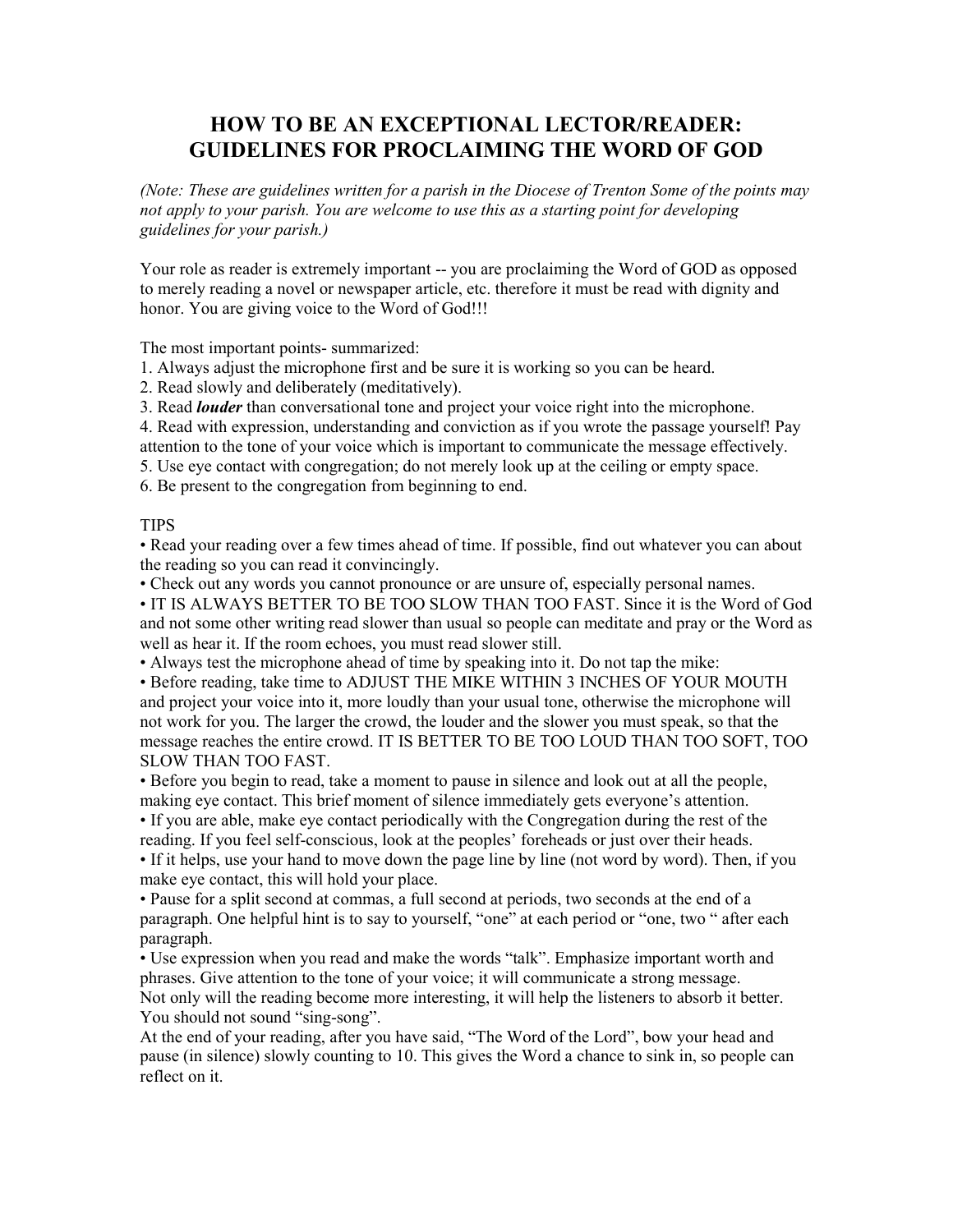## **HOW TO BE AN EXCEPTIONAL LECTOR/READER: GUIDELINES FOR PROCLAIMING THE WORD OF GOD**

*(Note: These are guidelines written for a parish in the Diocese of Trenton Some of the points may not apply to your parish. You are welcome to use this as a starting point for developing guidelines for your parish.)* 

Your role as reader is extremely important -- you are proclaiming the Word of GOD as opposed to merely reading a novel or newspaper article, etc. therefore it must be read with dignity and honor. You are giving voice to the Word of God!!!

The most important points- summarized:

1. Always adjust the microphone first and be sure it is working so you can be heard.

2. Read slowly and deliberately (meditatively).

3. Read *louder* than conversational tone and project your voice right into the microphone.

4. Read with expression, understanding and conviction as if you wrote the passage yourself! Pay attention to the tone of your voice which is important to communicate the message effectively.

5. Use eye contact with congregation; do not merely look up at the ceiling or empty space.

6. Be present to the congregation from beginning to end.

## **TIPS**

• Read your reading over a few times ahead of time. If possible, find out whatever you can about the reading so you can read it convincingly.

• Check out any words you cannot pronounce or are unsure of, especially personal names.

• IT IS ALWAYS BETTER TO BE TOO SLOW THAN TOO FAST. Since it is the Word of God and not some other writing read slower than usual so people can meditate and pray or the Word as well as hear it. If the room echoes, you must read slower still.

• Always test the microphone ahead of time by speaking into it. Do not tap the mike:

• Before reading, take time to ADJUST THE MIKE WITHIN 3 INCHES OF YOUR MOUTH and project your voice into it, more loudly than your usual tone, otherwise the microphone will not work for you. The larger the crowd, the louder and the slower you must speak, so that the message reaches the entire crowd. IT IS BETTER TO BE TOO LOUD THAN TOO SOFT, TOO SLOW THAN TOO FAST.

• Before you begin to read, take a moment to pause in silence and look out at all the people, making eye contact. This brief moment of silence immediately gets everyone's attention.

• If you are able, make eye contact periodically with the Congregation during the rest of the reading. If you feel self-conscious, look at the peoples' foreheads or just over their heads.

• If it helps, use your hand to move down the page line by line (not word by word). Then, if you make eye contact, this will hold your place.

• Pause for a split second at commas, a full second at periods, two seconds at the end of a paragraph. One helpful hint is to say to yourself, "one" at each period or "one, two " after each paragraph.

• Use expression when you read and make the words "talk". Emphasize important worth and phrases. Give attention to the tone of your voice; it will communicate a strong message. Not only will the reading become more interesting, it will help the listeners to absorb it better. You should not sound "sing-song".

At the end of your reading, after you have said, "The Word of the Lord", bow your head and pause (in silence) slowly counting to 10. This gives the Word a chance to sink in, so people can reflect on it.